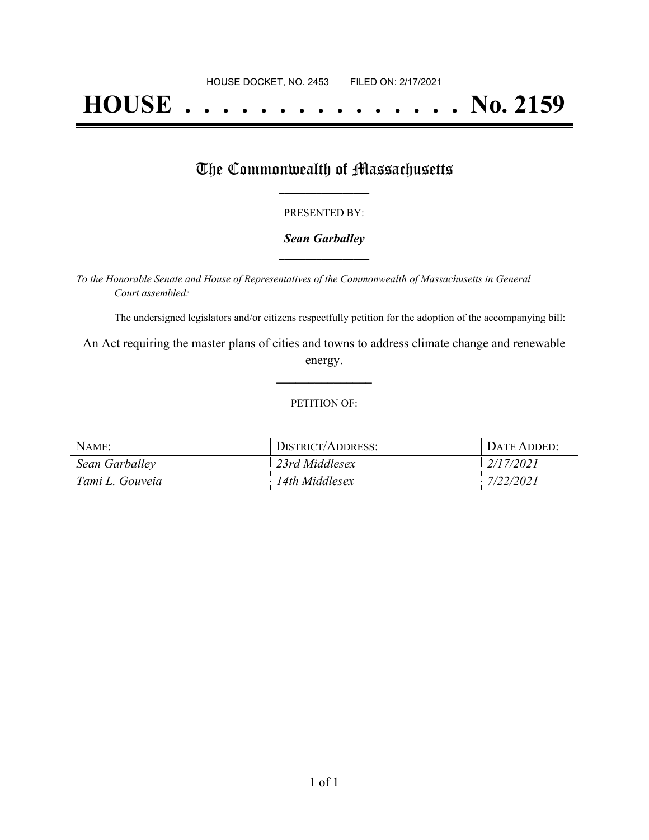# **HOUSE . . . . . . . . . . . . . . . No. 2159**

## The Commonwealth of Massachusetts

#### PRESENTED BY:

#### *Sean Garballey* **\_\_\_\_\_\_\_\_\_\_\_\_\_\_\_\_\_**

*To the Honorable Senate and House of Representatives of the Commonwealth of Massachusetts in General Court assembled:*

The undersigned legislators and/or citizens respectfully petition for the adoption of the accompanying bill:

An Act requiring the master plans of cities and towns to address climate change and renewable energy.

**\_\_\_\_\_\_\_\_\_\_\_\_\_\_\_**

#### PETITION OF:

| NAME:           | DISTRICT/ADDRESS: | $\Gamma$ Date Added: |
|-----------------|-------------------|----------------------|
| Sean Garballey  | 23rd Middlesex    | 2/17/2021            |
| Tami L. Gouveia | 14th Middlesex    | 7/22/2021            |